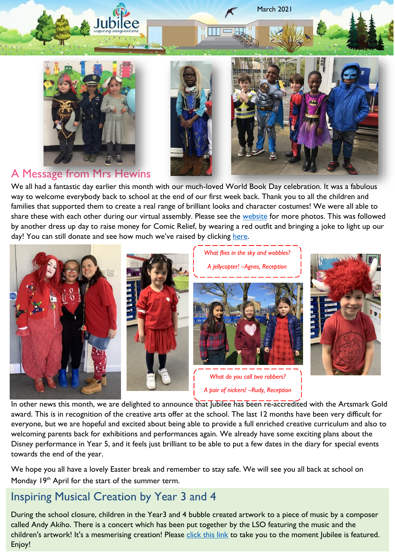

**Iubilee** 



March 2021

A Message from Mrs Hewins

We all had a fantastic day earlier this month with our much-loved World Book Day celebration. It was a fabulous way to welcome everybody back to school at the end of our first week back. Thank you to all the children and families that supported them to create a real range of brilliant looks and character costumes! We were all able to share these with each other during our virtual assembly. Please see the [website](https://www.jubilee.hackney.sch.uk/jubilee-world-book-day-2021/) for more photos. This was followed by another dress up day to raise money for Comic Relief, by wearing a red outfit and bringing a joke to light up our day! You can still donate and see how much we've raised by clicking [here.](https://www.justgiving.com/fundraising/jubilee-primary-school-rednoseday21-dd1bd3fd-61f2-493e-92dd-d22742ea0a14)



In other news this month, we are delighted to announce that Jubilee has been re-accredited with the Artsmark Gold award. This is in recognition of the creative arts offer at the school. The last 12 months have been very difficult for everyone, but we are hopeful and excited about being able to provide a full enriched creative curriculum and also to welcoming parents back for exhibitions and performances again. We already have some exciting plans about the Disney performance in Year 5, and it feels just brilliant to be able to put a few dates in the diary for special events towards the end of the year.

We hope you all have a lovely Easter break and remember to stay safe. We will see you all back at school on Monday 19<sup>th</sup> April for the start of the summer term.

# Inspiring Musical Creation by Year 3 and 4

During the school closure, children in the Year3 and 4 bubble created artwork to a piece of music by a composer called Andy Akiho. There is a concert which has been put together by the LSO featuring the music and the children's artwork! It's a mesmerising creation! Please [click this link](https://youtu.be/UvuQIL_GVdo?t=1550) to take you to the moment Jubilee is featured. Enjoy!